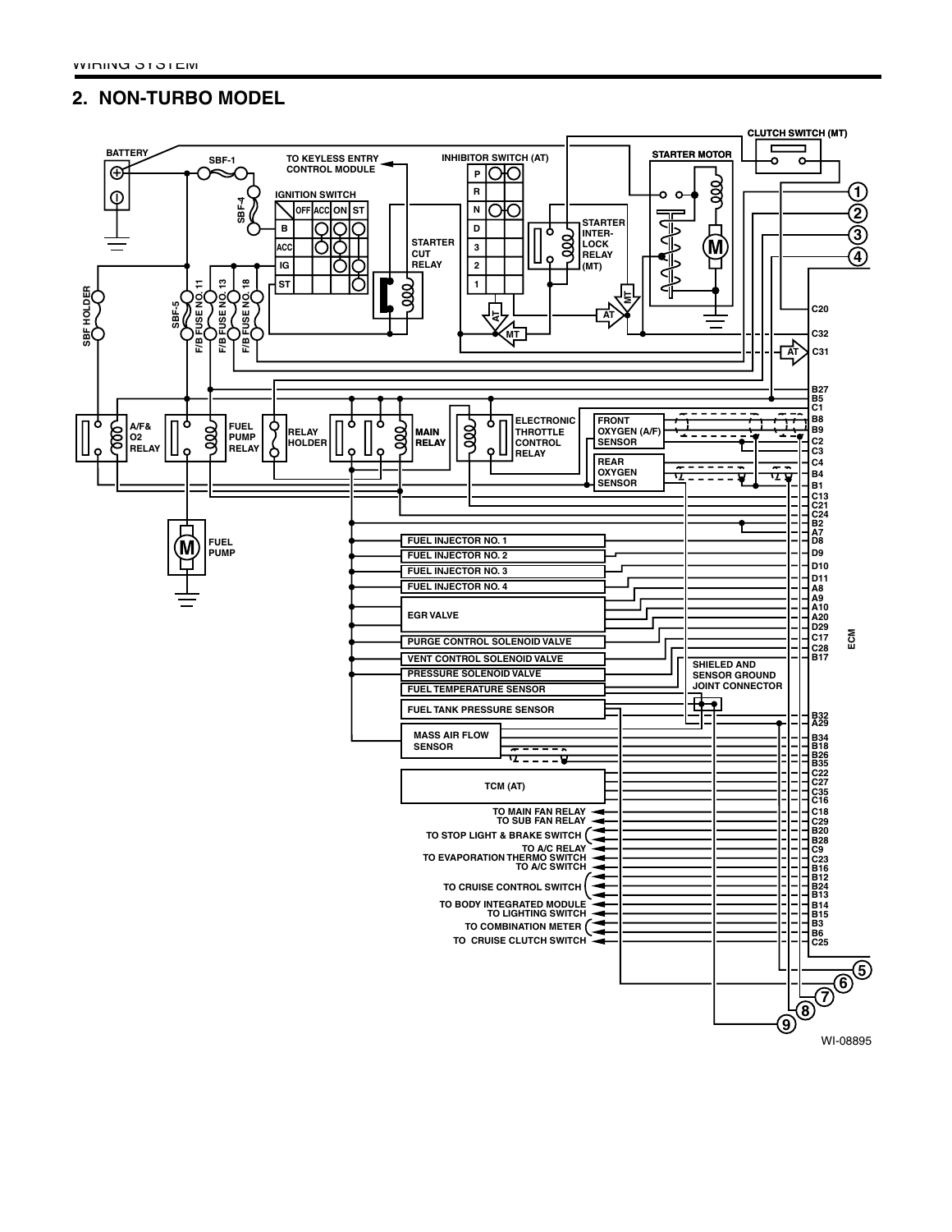## **2. NON-TURBO MODEL**

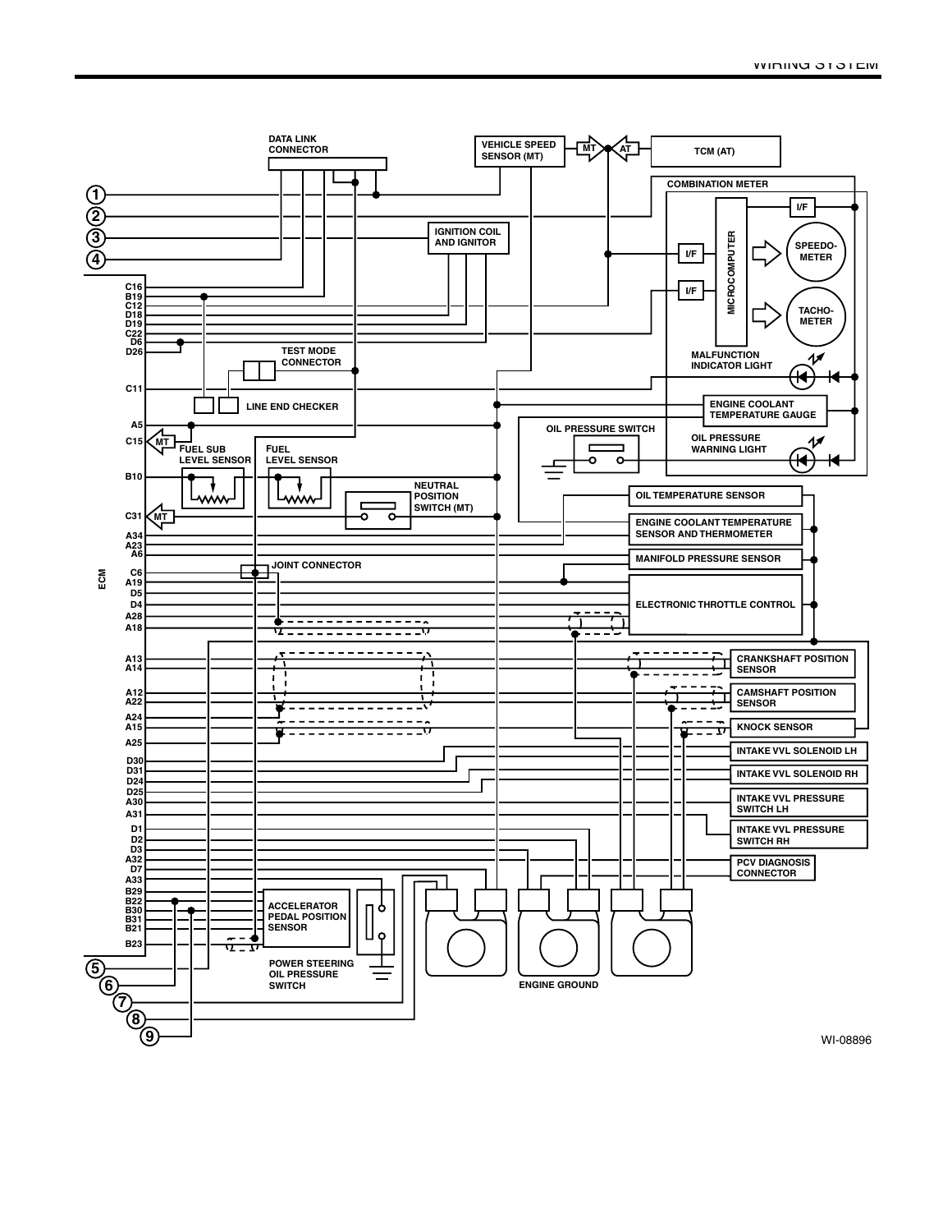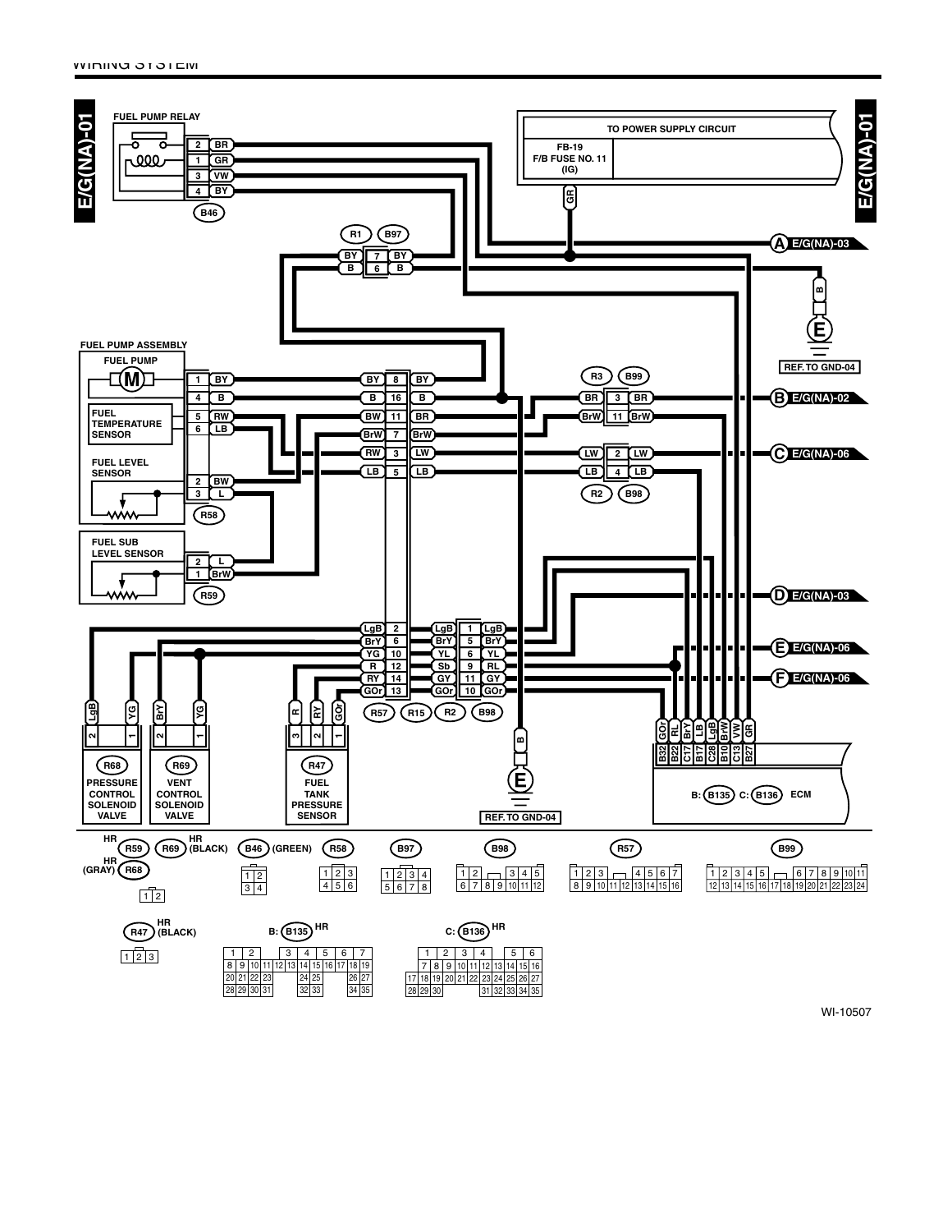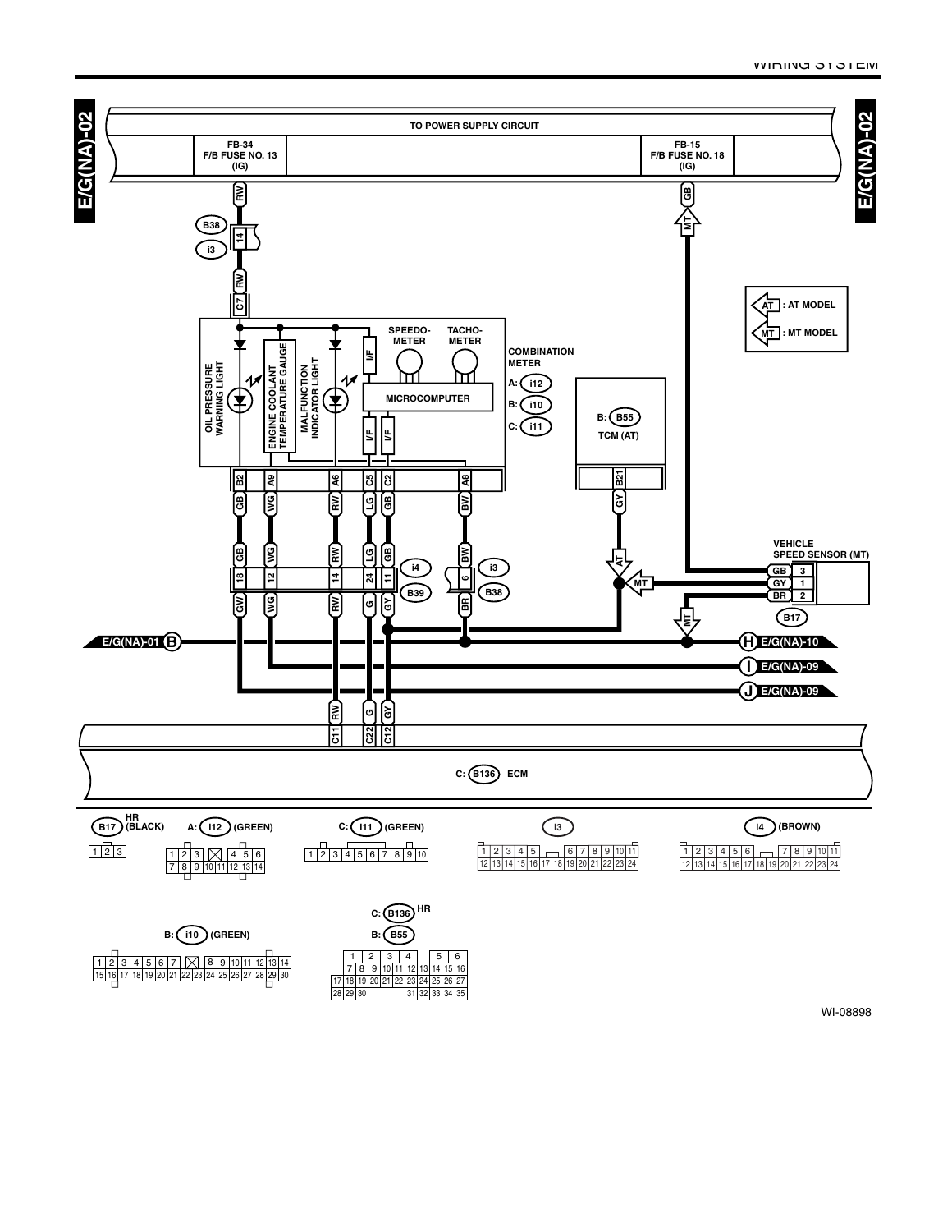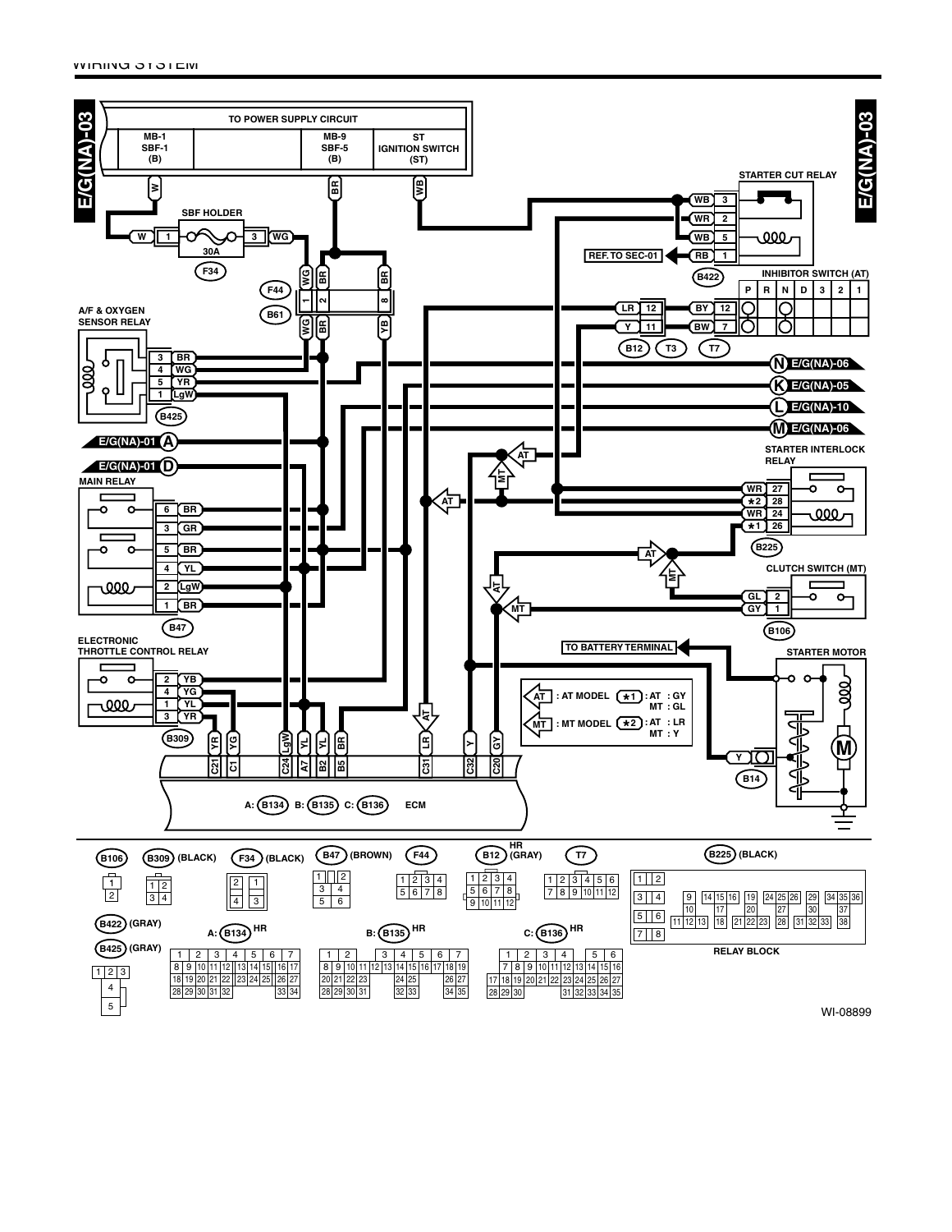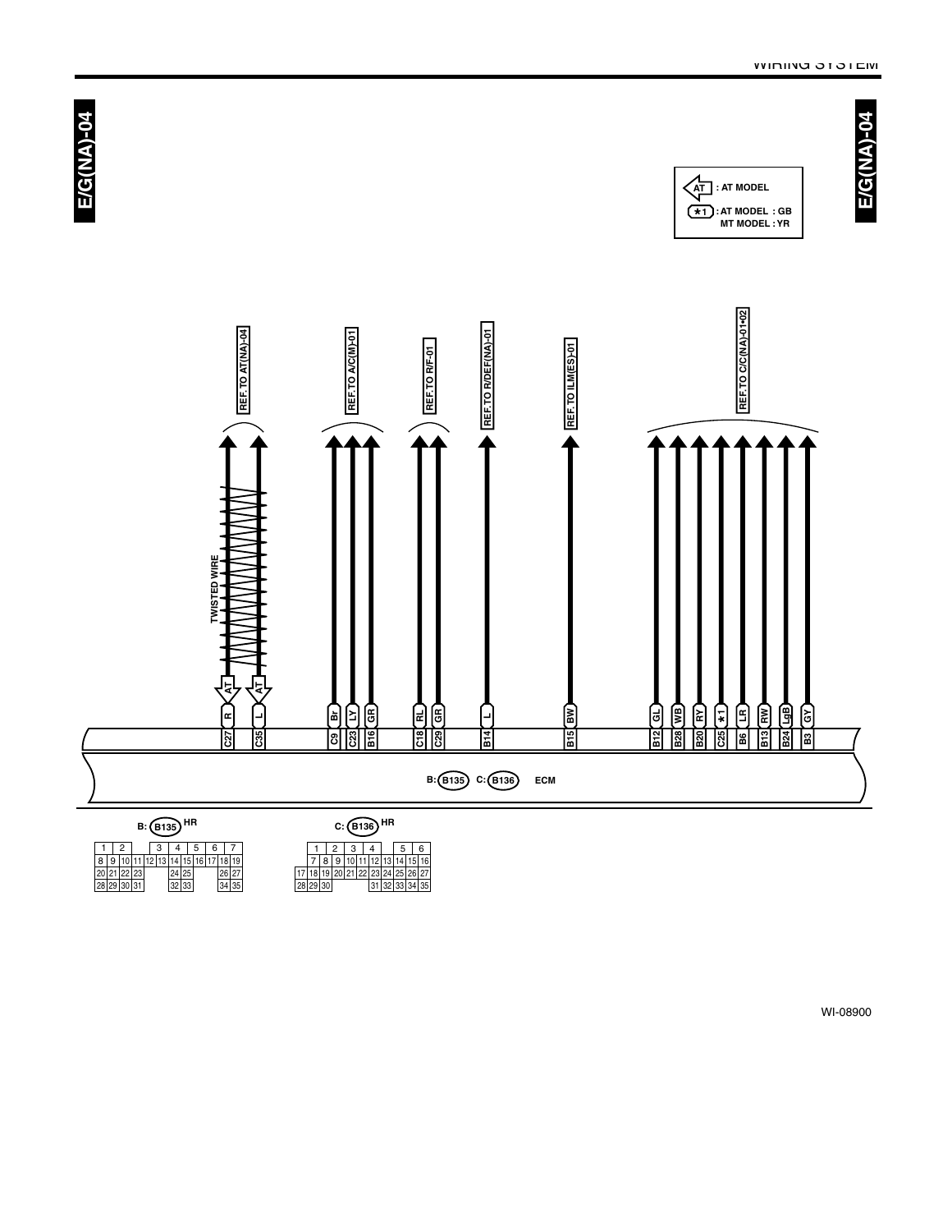

8 9 10 11<br>20 21 22 23<br>28 29 30 31 30 9 | 10 | 11 | 12 | 13 | 14 | 15 | 16 | 17 | 18 | 19<br>21 | 22 | 23 | 24 | 25 | 26 | 27<br>29 | 30 | 31 | 32 | 33 | 33 | 34 | 35

1 | 2 | 3 | 4 | 5 | 6<br>7 | 8 | 9 | 10 | 11 | 12 | 13 | 14 | 15 | 16 30 29 28 17|18|19|20|21|22|23|24|25 31 32 33 34 35 27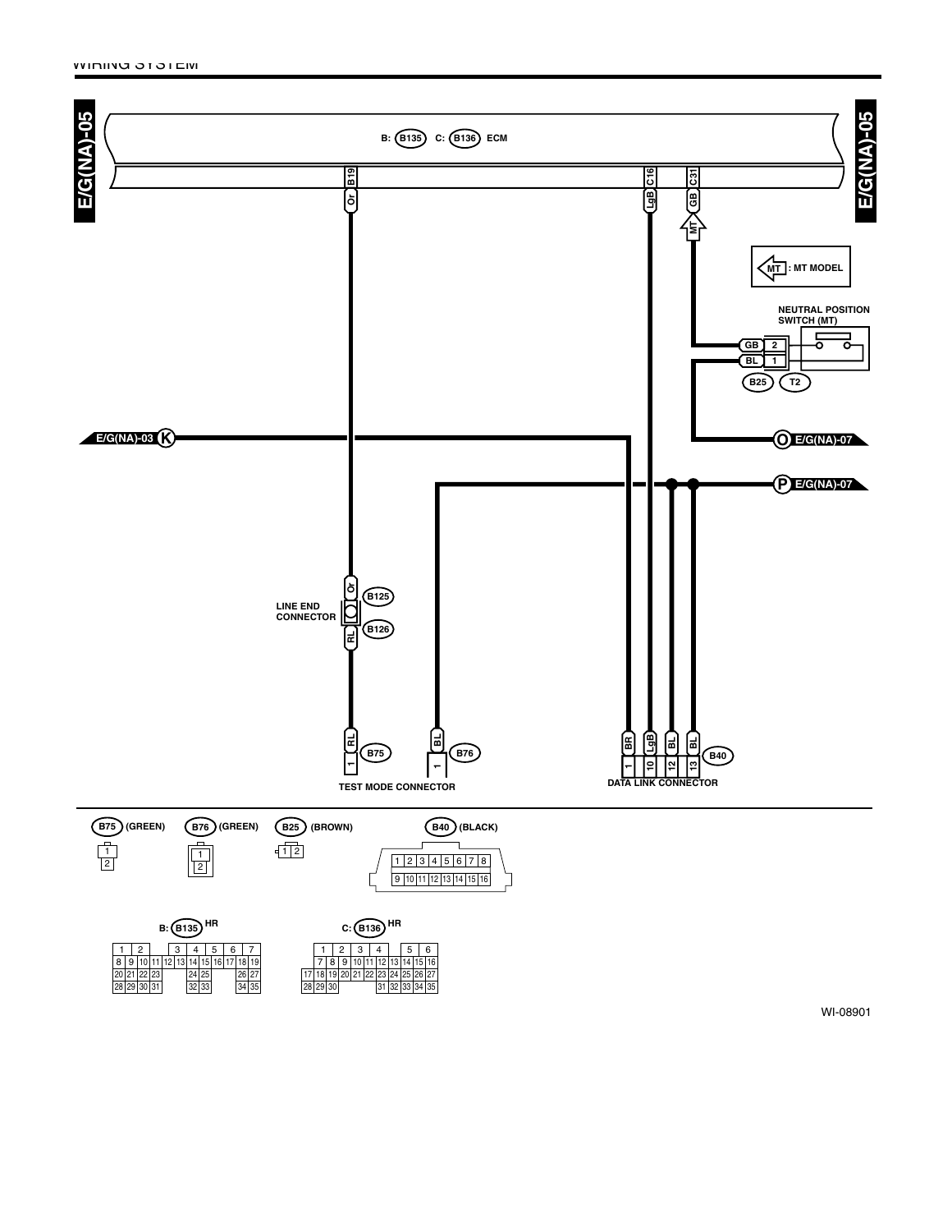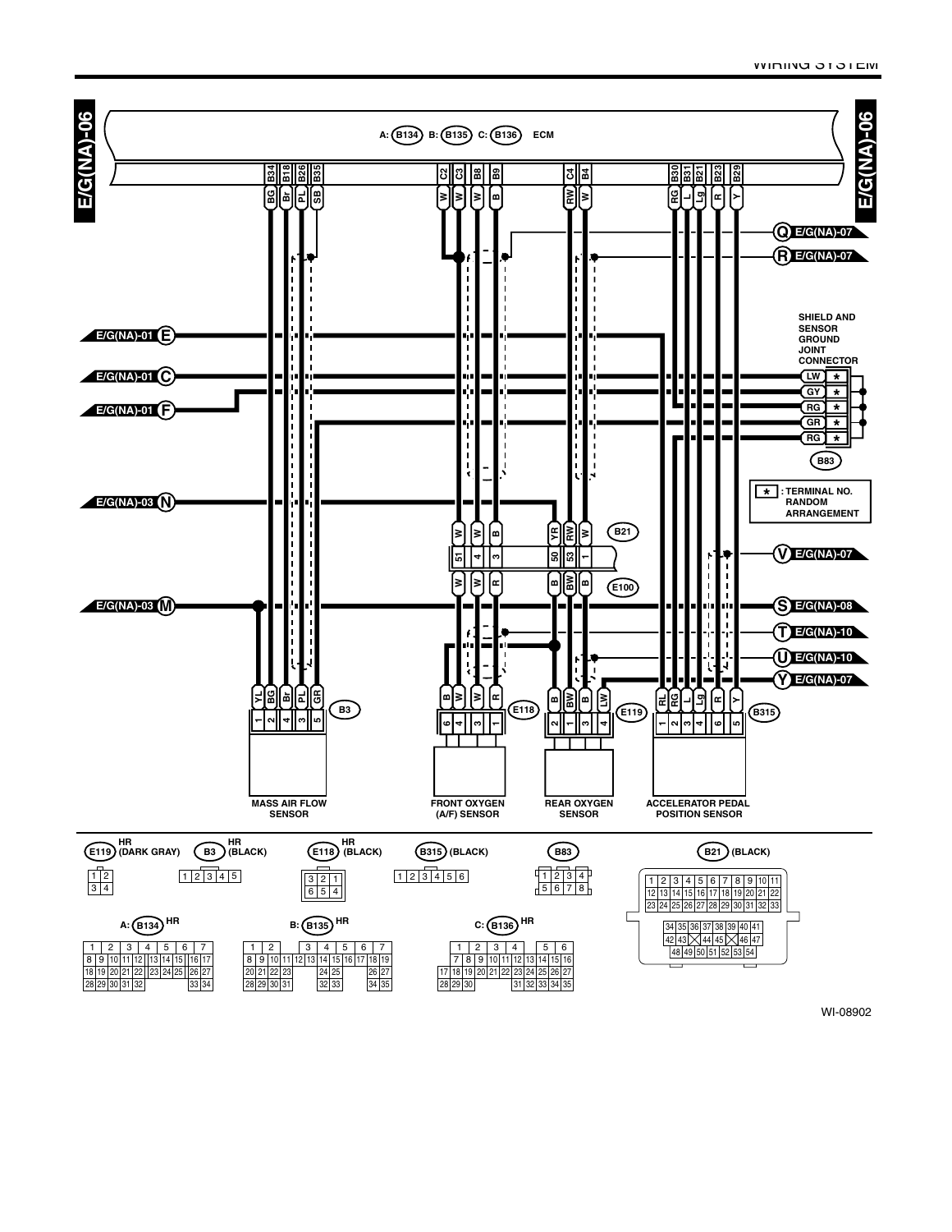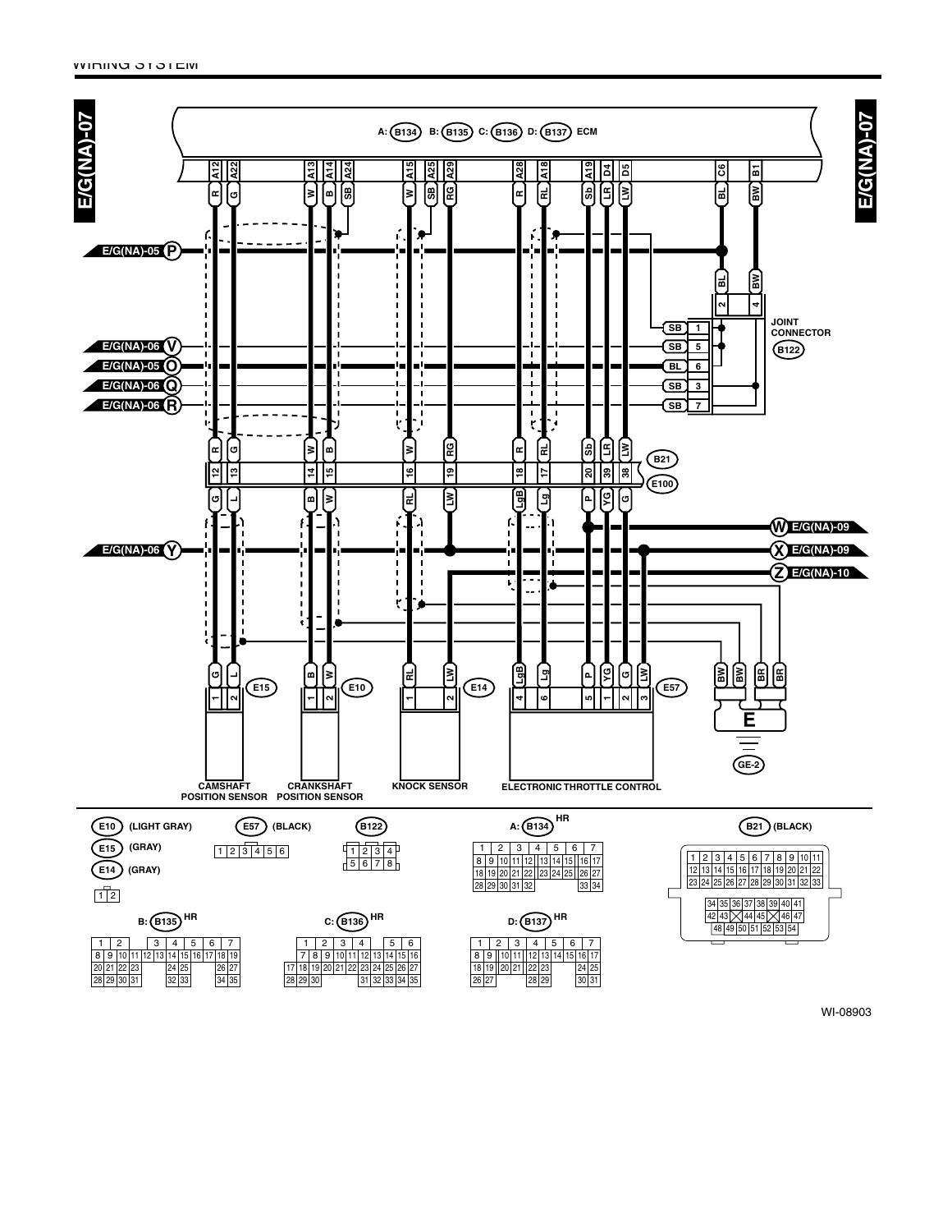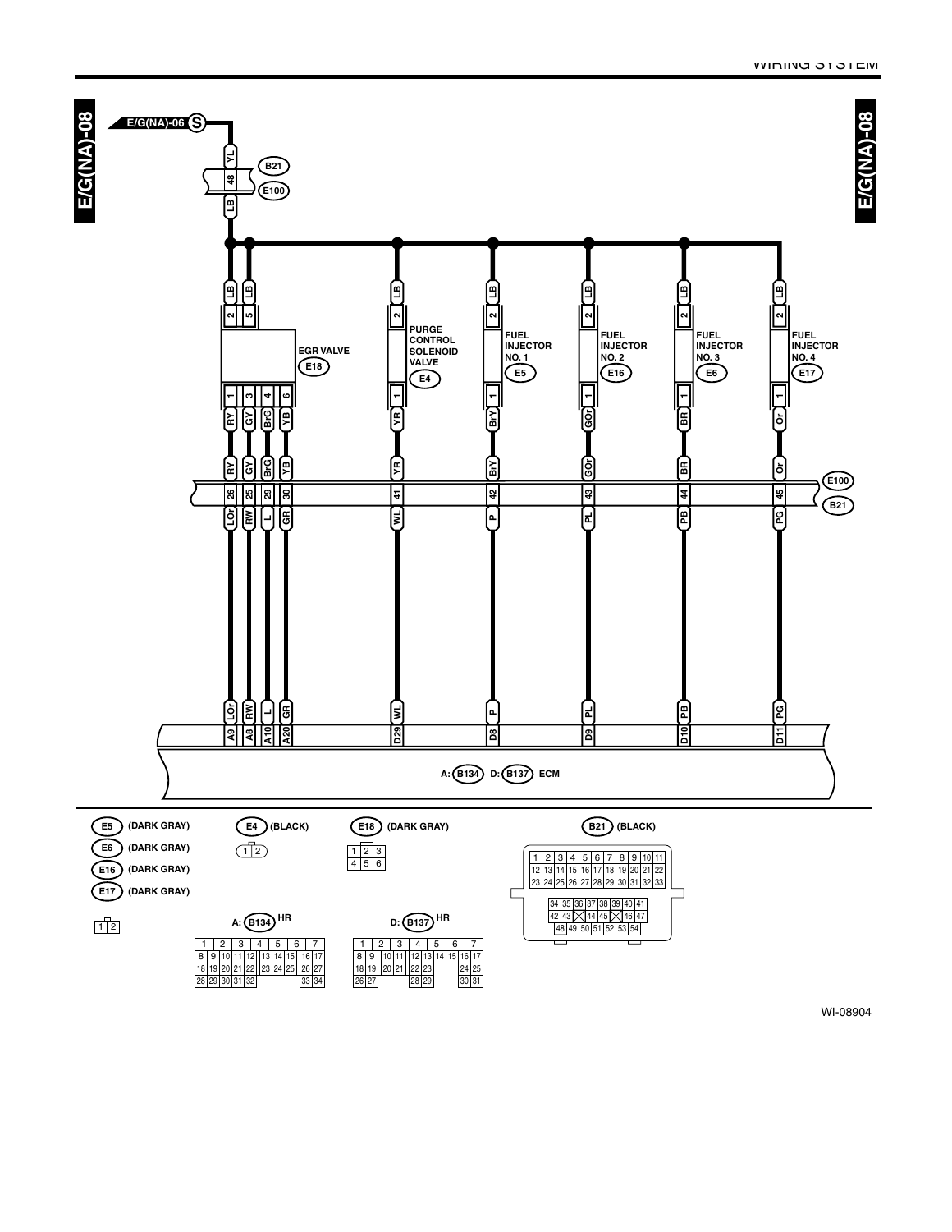

30

26|27| |28|29| |30|31

30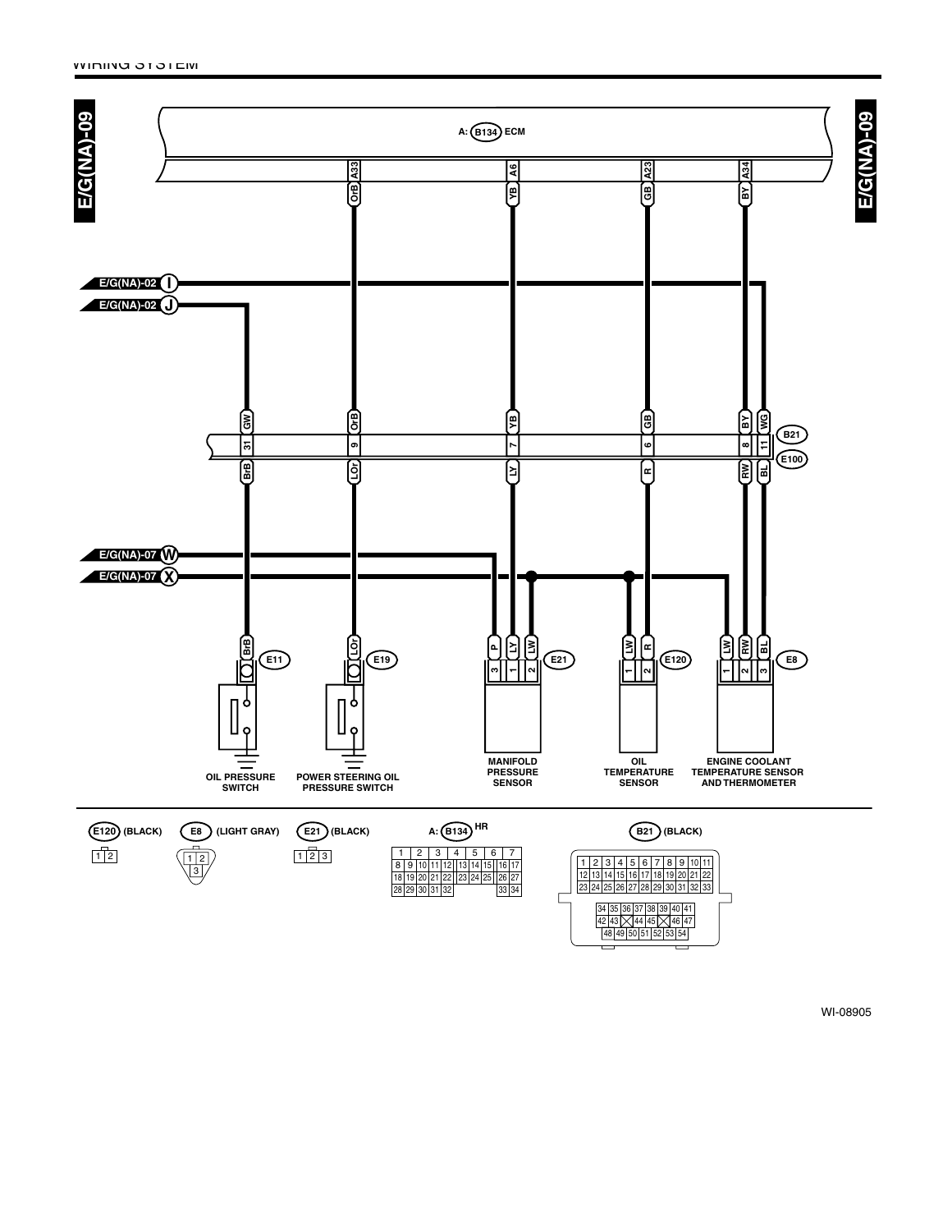